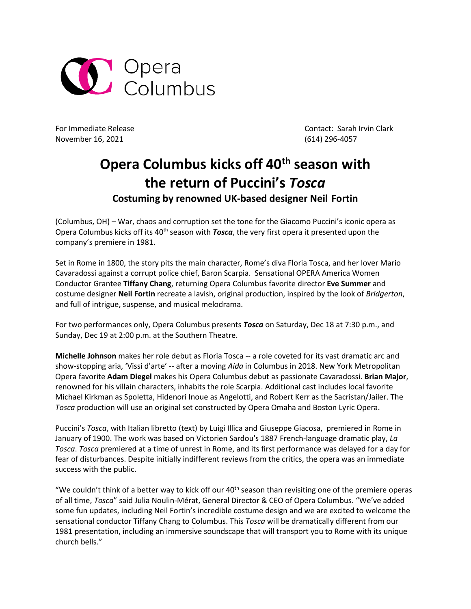

November 16, 2021 (614) 296-4057

For Immediate Release Contact: Sarah Irvin Clark

## **Opera Columbus kicks off 40th season with the return of Puccini's** *Tosca*

**Costuming by renowned UK-based designer Neil Fortin** 

(Columbus, OH) – War, chaos and corruption set the tone for the Giacomo Puccini's iconic opera as Opera Columbus kicks off its 40<sup>th</sup> season with *Tosca*, the very first opera it presented upon the company's premiere in 1981.

Set in Rome in 1800, the story pits the main character, Rome's diva Floria Tosca, and her lover Mario Cavaradossi against a corrupt police chief, Baron Scarpia. Sensational OPERA America Women Conductor Grantee **Tiffany Chang**, returning Opera Columbus favorite director **Eve Summer** and costume designer **Neil Fortin** recreate a lavish, original production, inspired by the look of *Bridgerton*, and full of intrigue, suspense, and musical melodrama.

For two performances only, Opera Columbus presents *Tosca* on Saturday, Dec 18 at 7:30 p.m., and Sunday, Dec 19 at 2:00 p.m. at the Southern Theatre.

**Michelle Johnson** makes her role debut as Floria Tosca -- a role coveted for its vast dramatic arc and show-stopping aria, 'Vissi d'arte' -- after a moving *Aida* in Columbus in 2018. New York Metropolitan Opera favorite **Adam Diegel** makes his Opera Columbus debut as passionate Cavaradossi. **Brian Major**, renowned for his villain characters, inhabits the role Scarpia. Additional cast includes local favorite Michael Kirkman as Spoletta, Hidenori Inoue as Angelotti, and Robert Kerr as the Sacristan/Jailer. The *Tosca* production will use an original set constructed by Opera Omaha and Boston Lyric Opera.

Puccini's *Tosca*, with Italian [libretto](https://en.wikipedia.org/wiki/Libretto) (text) by [Luigi Illica](https://en.wikipedia.org/wiki/Luigi_Illica) and [Giuseppe Giacosa,](https://en.wikipedia.org/wiki/Giuseppe_Giacosa) premiered in Rome in January of 1900. The work was based on [Victorien Sardou'](https://en.wikipedia.org/wiki/Victorien_Sardou)s 1887 French-language dramatic play, *[La](https://en.wikipedia.org/wiki/La_Tosca)  [Tosca](https://en.wikipedia.org/wiki/La_Tosca)*. *Tosca* premiered at a time of unrest in Rome, and its first performance was delayed for a day for fear of disturbances. Despite initially indifferent reviews from the critics, the opera was an immediate success with the public.

"We couldn't think of a better way to kick off our 40<sup>th</sup> season than revisiting one of the premiere operas of all time, *Tosca*" said Julia Noulin-Mérat, General Director & CEO of Opera Columbus. "We've added some fun updates, including Neil Fortin's incredible costume design and we are excited to welcome the sensational conductor Tiffany Chang to Columbus. This *Tosca* will be dramatically different from our 1981 presentation, including an immersive soundscape that will transport you to Rome with its unique church bells."